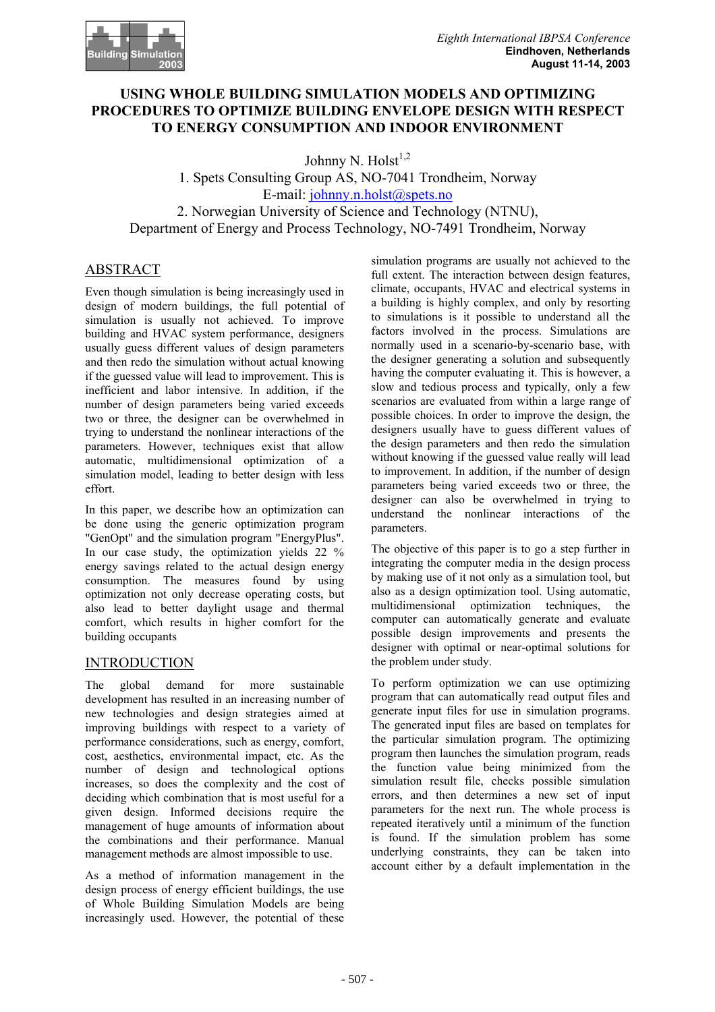## **USING WHOLE BUILDING SIMULATION MODELS AND OPTIMIZING PROCEDURES TO OPTIMIZE BUILDING ENVELOPE DESIGN WITH RESPECT TO ENERGY CONSUMPTION AND INDOOR ENVIRONMENT**

Johnny N. Holst $^{1,2}$ 

1. Spets Consulting Group AS, NO-7041 Trondheim, Norway E-mail: johnny.n.holst@spets.no 2. Norwegian University of Science and Technology (NTNU), Department of Energy and Process Technology, NO-7491 Trondheim, Norway

# ABSTRACT

Even though simulation is being increasingly used in design of modern buildings, the full potential of simulation is usually not achieved. To improve building and HVAC system performance, designers usually guess different values of design parameters and then redo the simulation without actual knowing if the guessed value will lead to improvement. This is inefficient and labor intensive. In addition, if the number of design parameters being varied exceeds two or three, the designer can be overwhelmed in trying to understand the nonlinear interactions of the parameters. However, techniques exist that allow automatic, multidimensional optimization of a simulation model, leading to better design with less effort.

In this paper, we describe how an optimization can be done using the generic optimization program "GenOpt" and the simulation program "EnergyPlus". In our case study, the optimization yields 22 % energy savings related to the actual design energy consumption. The measures found by using optimization not only decrease operating costs, but also lead to better daylight usage and thermal comfort, which results in higher comfort for the building occupants

## INTRODUCTION

The global demand for more sustainable development has resulted in an increasing number of new technologies and design strategies aimed at improving buildings with respect to a variety of performance considerations, such as energy, comfort, cost, aesthetics, environmental impact, etc. As the number of design and technological options increases, so does the complexity and the cost of deciding which combination that is most useful for a given design. Informed decisions require the management of huge amounts of information about the combinations and their performance. Manual management methods are almost impossible to use.

As a method of information management in the design process of energy efficient buildings, the use of Whole Building Simulation Models are being increasingly used. However, the potential of these

simulation programs are usually not achieved to the full extent. The interaction between design features, climate, occupants, HVAC and electrical systems in a building is highly complex, and only by resorting to simulations is it possible to understand all the factors involved in the process. Simulations are normally used in a scenario-by-scenario base, with the designer generating a solution and subsequently having the computer evaluating it. This is however, a slow and tedious process and typically, only a few scenarios are evaluated from within a large range of possible choices. In order to improve the design, the designers usually have to guess different values of the design parameters and then redo the simulation without knowing if the guessed value really will lead to improvement. In addition, if the number of design parameters being varied exceeds two or three, the designer can also be overwhelmed in trying to understand the nonlinear interactions of the parameters.

The objective of this paper is to go a step further in integrating the computer media in the design process by making use of it not only as a simulation tool, but also as a design optimization tool. Using automatic, multidimensional optimization techniques, the computer can automatically generate and evaluate possible design improvements and presents the designer with optimal or near-optimal solutions for the problem under study.

To perform optimization we can use optimizing program that can automatically read output files and generate input files for use in simulation programs. The generated input files are based on templates for the particular simulation program. The optimizing program then launches the simulation program, reads the function value being minimized from the simulation result file, checks possible simulation errors, and then determines a new set of input parameters for the next run. The whole process is repeated iteratively until a minimum of the function is found. If the simulation problem has some underlying constraints, they can be taken into account either by a default implementation in the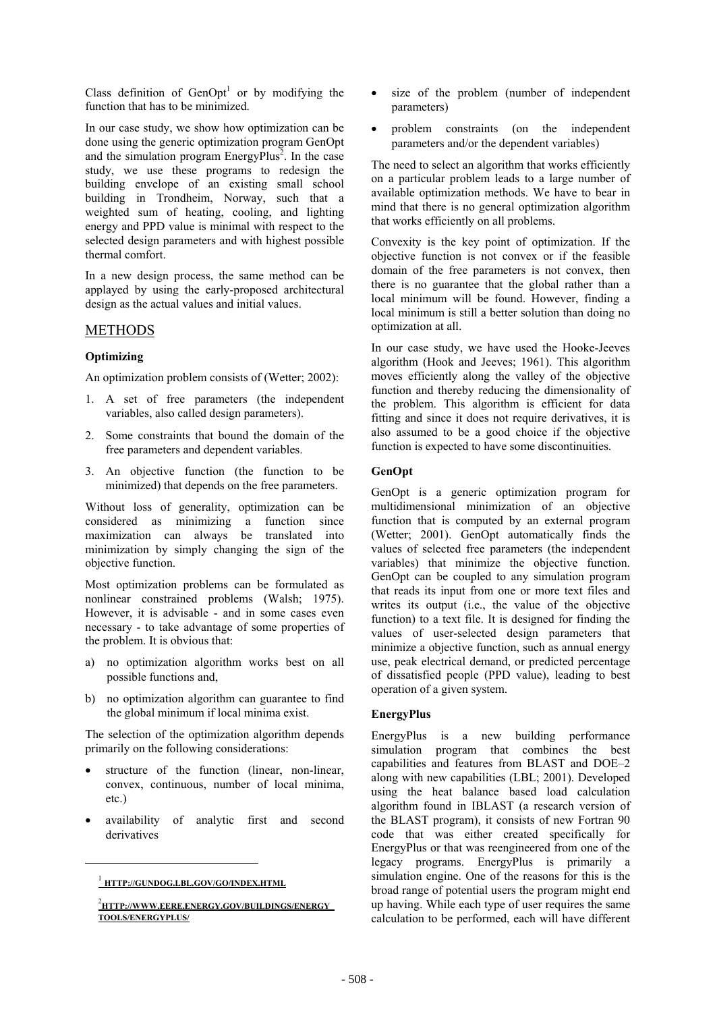Class definition of  $GenOpt<sup>1</sup>$  or by modifying the function that has to be minimized.

In our case study, we show how optimization can be done using the generic optimization program GenOpt and the simulation program  $EnergyPlus^2$ . In the case study, we use these programs to redesign the building envelope of an existing small school building in Trondheim, Norway, such that a weighted sum of heating, cooling, and lighting energy and PPD value is minimal with respect to the selected design parameters and with highest possible thermal comfort.

In a new design process, the same method can be applayed by using the early-proposed architectural design as the actual values and initial values.

## METHODS

## **Optimizing**

An optimization problem consists of (Wetter; 2002):

- 1. A set of free parameters (the independent variables, also called design parameters).
- 2. Some constraints that bound the domain of the free parameters and dependent variables.
- 3. An objective function (the function to be minimized) that depends on the free parameters.

Without loss of generality, optimization can be considered as minimizing a function since maximization can always be translated into minimization by simply changing the sign of the objective function.

Most optimization problems can be formulated as nonlinear constrained problems (Walsh; 1975). However, it is advisable - and in some cases even necessary - to take advantage of some properties of the problem. It is obvious that:

- a) no optimization algorithm works best on all possible functions and,
- b) no optimization algorithm can guarantee to find the global minimum if local minima exist.

The selection of the optimization algorithm depends primarily on the following considerations:

- structure of the function (linear, non-linear, convex, continuous, number of local minima, etc.)
- availability of analytic first and second derivatives

 $\overline{a}$ 

- size of the problem (number of independent parameters)
- problem constraints (on the independent parameters and/or the dependent variables)

The need to select an algorithm that works efficiently on a particular problem leads to a large number of available optimization methods. We have to bear in mind that there is no general optimization algorithm that works efficiently on all problems.

Convexity is the key point of optimization. If the objective function is not convex or if the feasible domain of the free parameters is not convex, then there is no guarantee that the global rather than a local minimum will be found. However, finding a local minimum is still a better solution than doing no optimization at all.

In our case study, we have used the Hooke-Jeeves algorithm (Hook and Jeeves; 1961). This algorithm moves efficiently along the valley of the objective function and thereby reducing the dimensionality of the problem. This algorithm is efficient for data fitting and since it does not require derivatives, it is also assumed to be a good choice if the objective function is expected to have some discontinuities.

## **GenOpt**

GenOpt is a generic optimization program for multidimensional minimization of an objective function that is computed by an external program (Wetter; 2001). GenOpt automatically finds the values of selected free parameters (the independent variables) that minimize the objective function. GenOpt can be coupled to any simulation program that reads its input from one or more text files and writes its output (i.e., the value of the objective function) to a text file. It is designed for finding the values of user-selected design parameters that minimize a objective function, such as annual energy use, peak electrical demand, or predicted percentage of dissatisfied people (PPD value), leading to best operation of a given system.

#### **EnergyPlus**

EnergyPlus is a new building performance simulation program that combines the best capabilities and features from BLAST and DOE–2 along with new capabilities (LBL; 2001). Developed using the heat balance based load calculation algorithm found in IBLAST (a research version of the BLAST program), it consists of new Fortran 90 code that was either created specifically for EnergyPlus or that was reengineered from one of the legacy programs. EnergyPlus is primarily a simulation engine. One of the reasons for this is the broad range of potential users the program might end up having. While each type of user requires the same calculation to be performed, each will have different

<sup>1</sup> **HTTP://GUNDOG.LBL.GOV/GO/INDEX.HTML**

<sup>2</sup> **HTTP://WWW.EERE.ENERGY.GOV/BUILDINGS/ENERGY\_ TOOLS/ENERGYPLUS/**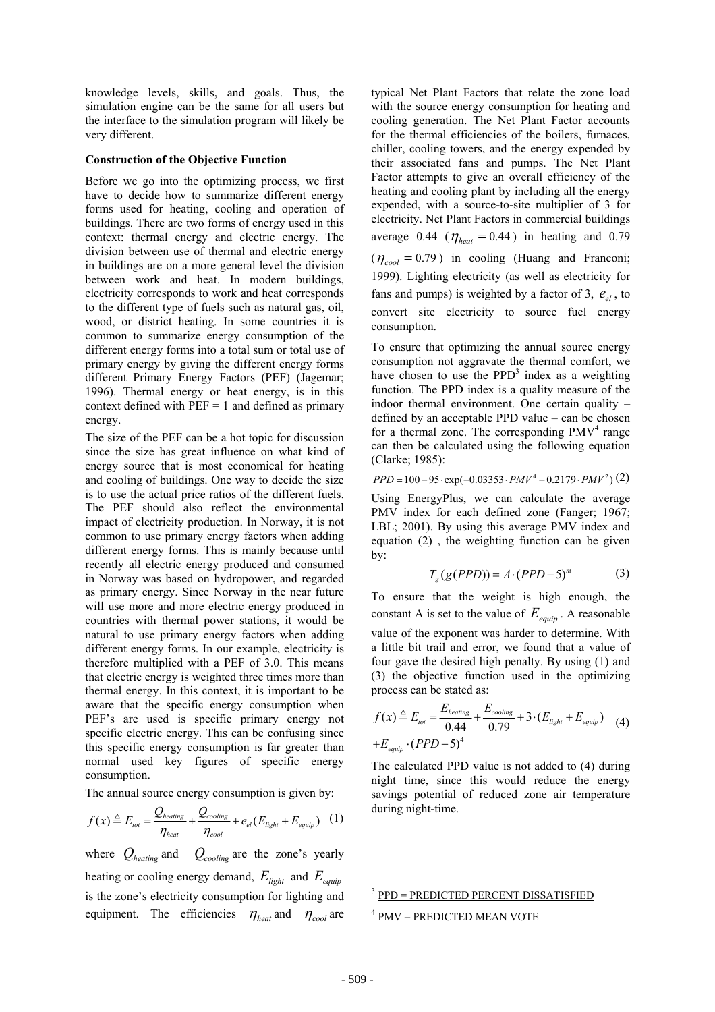knowledge levels, skills, and goals. Thus, the simulation engine can be the same for all users but the interface to the simulation program will likely be very different.

#### **Construction of the Objective Function**

Before we go into the optimizing process, we first have to decide how to summarize different energy forms used for heating, cooling and operation of buildings. There are two forms of energy used in this context: thermal energy and electric energy. The division between use of thermal and electric energy in buildings are on a more general level the division between work and heat. In modern buildings, electricity corresponds to work and heat corresponds to the different type of fuels such as natural gas, oil, wood, or district heating. In some countries it is common to summarize energy consumption of the different energy forms into a total sum or total use of primary energy by giving the different energy forms different Primary Energy Factors (PEF) (Jagemar; 1996). Thermal energy or heat energy, is in this context defined with  $PEF = 1$  and defined as primary energy.

The size of the PEF can be a hot topic for discussion since the size has great influence on what kind of energy source that is most economical for heating and cooling of buildings. One way to decide the size is to use the actual price ratios of the different fuels. The PEF should also reflect the environmental impact of electricity production. In Norway, it is not common to use primary energy factors when adding different energy forms. This is mainly because until recently all electric energy produced and consumed in Norway was based on hydropower, and regarded as primary energy. Since Norway in the near future will use more and more electric energy produced in countries with thermal power stations, it would be natural to use primary energy factors when adding different energy forms. In our example, electricity is therefore multiplied with a PEF of 3.0. This means that electric energy is weighted three times more than thermal energy. In this context, it is important to be aware that the specific energy consumption when PEF's are used is specific primary energy not specific electric energy. This can be confusing since this specific energy consumption is far greater than normal used key figures of specific energy consumption.

The annual source energy consumption is given by:

$$
f(x) \triangleq E_{tot} = \frac{Q_{heating}}{\eta_{heat}} + \frac{Q_{cooling}}{\eta_{cool}} + e_{el}(E_{light} + E_{equip})
$$
 (1)

where  $Q_{heating}$  and  $Q_{cooling}$  are the zone's yearly heating or cooling energy demand,  $E_{light}$  and  $E_{e^{\text{output}}}$ is the zone's electricity consumption for lighting and equipment. The efficiencies  $\eta_{heat}$  and  $\eta_{cool}$  are

typical Net Plant Factors that relate the zone load with the source energy consumption for heating and cooling generation. The Net Plant Factor accounts for the thermal efficiencies of the boilers, furnaces, chiller, cooling towers, and the energy expended by their associated fans and pumps. The Net Plant Factor attempts to give an overall efficiency of the heating and cooling plant by including all the energy expended, with a source-to-site multiplier of 3 for electricity. Net Plant Factors in commercial buildings average 0.44 ( $\eta_{heat} = 0.44$ ) in heating and 0.79  $(\eta_{cool} = 0.79)$  in cooling (Huang and Franconi; 1999). Lighting electricity (as well as electricity for fans and pumps) is weighted by a factor of 3,  $e_{el}$ , to convert site electricity to source fuel energy consumption.

To ensure that optimizing the annual source energy consumption not aggravate the thermal comfort, we have chosen to use the  $PPD<sup>3</sup>$  index as a weighting function. The PPD index is a quality measure of the indoor thermal environment. One certain quality – defined by an acceptable PPD value – can be chosen for a thermal zone. The corresponding  $PMV<sup>4</sup>$  range can then be calculated using the following equation (Clarke; 1985):

 $PPD = 100 - 95 \cdot \exp(-0.03353 \cdot PMV^4 - 0.2179 \cdot PMV^2)$  (2)

Using EnergyPlus, we can calculate the average PMV index for each defined zone (Fanger; 1967; LBL; 2001). By using this average PMV index and equation (2) , the weighting function can be given by:

$$
T_g(g(PPD)) = A \cdot (PPD - 5)^m \tag{3}
$$

To ensure that the weight is high enough, the constant A is set to the value of  $E_{\text{e}_{\text{c}_{\text{c}_{\text{c}_{\text{c}_{\text{c}_{\text{c}}}}}}}$ . A reasonable value of the exponent was harder to determine. With a little bit trail and error, we found that a value of four gave the desired high penalty. By using (1) and (3) the objective function used in the optimizing process can be stated as:

$$
f(x) \triangleq E_{tot} = \frac{E_{heating}}{0.44} + \frac{E_{cooling}}{0.79} + 3 \cdot (E_{light} + E_{equip})
$$
 (4)  
+ $E_{equip} \cdot (PPD - 5)^4$ 

The calculated PPD value is not added to (4) during night time, since this would reduce the energy savings potential of reduced zone air temperature during night-time.

<sup>3</sup> PPD = PREDICTED PERCENT DISSATISFIED

 $\overline{\phantom{a}}$ 

 $4$  PMV = PREDICTED MEAN VOTE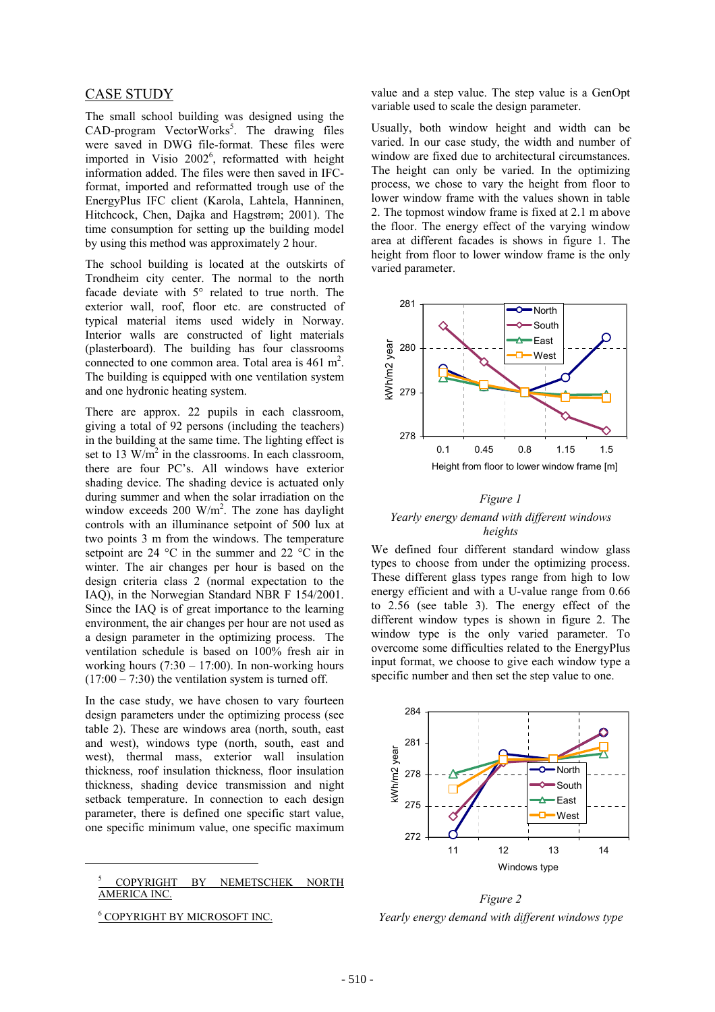#### CASE STUDY

The small school building was designed using the CAD-program VectorWorks<sup>5</sup>. The drawing files were saved in DWG file-format. These files were imported in Visio  $2002^6$ , reformatted with height information added. The files were then saved in IFCformat, imported and reformatted trough use of the EnergyPlus IFC client (Karola, Lahtela, Hanninen, Hitchcock, Chen, Dajka and Hagstrøm; 2001). The time consumption for setting up the building model by using this method was approximately 2 hour.

The school building is located at the outskirts of Trondheim city center. The normal to the north facade deviate with 5° related to true north. The exterior wall, roof, floor etc. are constructed of typical material items used widely in Norway. Interior walls are constructed of light materials (plasterboard). The building has four classrooms connected to one common area. Total area is  $461 \text{ m}^2$ . The building is equipped with one ventilation system and one hydronic heating system.

There are approx. 22 pupils in each classroom, giving a total of 92 persons (including the teachers) in the building at the same time. The lighting effect is set to 13  $\text{W/m}^2$  in the classrooms. In each classroom, there are four PC's. All windows have exterior shading device. The shading device is actuated only during summer and when the solar irradiation on the window exceeds  $200 \text{ W/m}^2$ . The zone has daylight controls with an illuminance setpoint of 500 lux at two points 3 m from the windows. The temperature setpoint are 24 °C in the summer and 22 °C in the winter. The air changes per hour is based on the design criteria class 2 (normal expectation to the IAQ), in the Norwegian Standard NBR F 154/2001. Since the IAQ is of great importance to the learning environment, the air changes per hour are not used as a design parameter in the optimizing process. The ventilation schedule is based on 100% fresh air in working hours  $(7:30 - 17:00)$ . In non-working hours  $(17:00 - 7:30)$  the ventilation system is turned off.

In the case study, we have chosen to vary fourteen design parameters under the optimizing process (see table 2). These are windows area (north, south, east and west), windows type (north, south, east and west), thermal mass, exterior wall insulation thickness, roof insulation thickness, floor insulation thickness, shading device transmission and night setback temperature. In connection to each design parameter, there is defined one specific start value, one specific minimum value, one specific maximum

5 COPYRIGHT BY NEMETSCHEK NORTH AMERICA INC.

6 COPYRIGHT BY MICROSOFT INC.

 $\overline{a}$ 

value and a step value. The step value is a GenOpt variable used to scale the design parameter.

Usually, both window height and width can be varied. In our case study, the width and number of window are fixed due to architectural circumstances. The height can only be varied. In the optimizing process, we chose to vary the height from floor to lower window frame with the values shown in table 2. The topmost window frame is fixed at 2.1 m above the floor. The energy effect of the varying window area at different facades is shows in figure 1. The height from floor to lower window frame is the only varied parameter.



## *Figure 1 Yearly energy demand with different windows heights*

We defined four different standard window glass types to choose from under the optimizing process. These different glass types range from high to low energy efficient and with a U-value range from 0.66 to 2.56 (see table 3). The energy effect of the different window types is shown in figure 2. The window type is the only varied parameter. To overcome some difficulties related to the EnergyPlus input format, we choose to give each window type a specific number and then set the step value to one.



*Figure 2 Yearly energy demand with different windows type*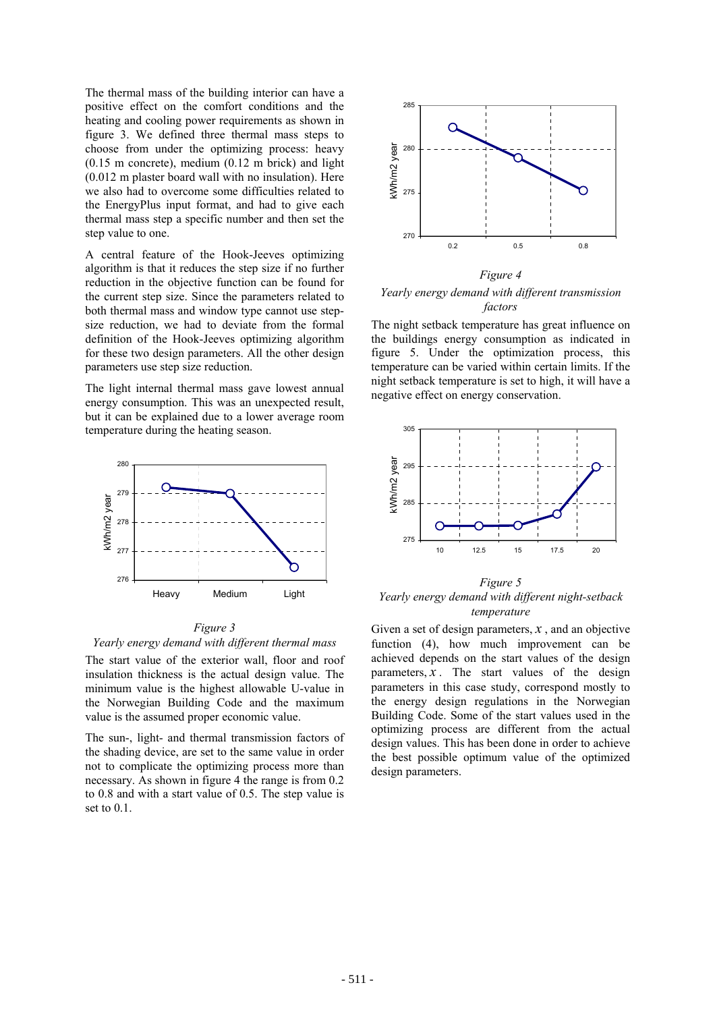The thermal mass of the building interior can have a positive effect on the comfort conditions and the heating and cooling power requirements as shown in figure 3. We defined three thermal mass steps to choose from under the optimizing process: heavy (0.15 m concrete), medium (0.12 m brick) and light (0.012 m plaster board wall with no insulation). Here we also had to overcome some difficulties related to the EnergyPlus input format, and had to give each thermal mass step a specific number and then set the step value to one.

A central feature of the Hook-Jeeves optimizing algorithm is that it reduces the step size if no further reduction in the objective function can be found for the current step size. Since the parameters related to both thermal mass and window type cannot use stepsize reduction, we had to deviate from the formal definition of the Hook-Jeeves optimizing algorithm for these two design parameters. All the other design parameters use step size reduction.

The light internal thermal mass gave lowest annual energy consumption. This was an unexpected result, but it can be explained due to a lower average room temperature during the heating season.



#### *Figure 3 Yearly energy demand with different thermal mass*

The start value of the exterior wall, floor and roof insulation thickness is the actual design value. The minimum value is the highest allowable U-value in the Norwegian Building Code and the maximum value is the assumed proper economic value.

The sun-, light- and thermal transmission factors of the shading device, are set to the same value in order not to complicate the optimizing process more than necessary. As shown in figure 4 the range is from 0.2 to 0.8 and with a start value of 0.5. The step value is set to 0.1.



## *Figure 4 Yearly energy demand with different transmission factors*

The night setback temperature has great influence on the buildings energy consumption as indicated in figure 5. Under the optimization process, this temperature can be varied within certain limits. If the night setback temperature is set to high, it will have a negative effect on energy conservation.



*Figure 5 Yearly energy demand with different night-setback temperature* 

Given a set of design parameters,  $x$ , and an objective function (4), how much improvement can be achieved depends on the start values of the design parameters,  $x$ . The start values of the design parameters in this case study, correspond mostly to the energy design regulations in the Norwegian Building Code. Some of the start values used in the optimizing process are different from the actual design values. This has been done in order to achieve the best possible optimum value of the optimized design parameters.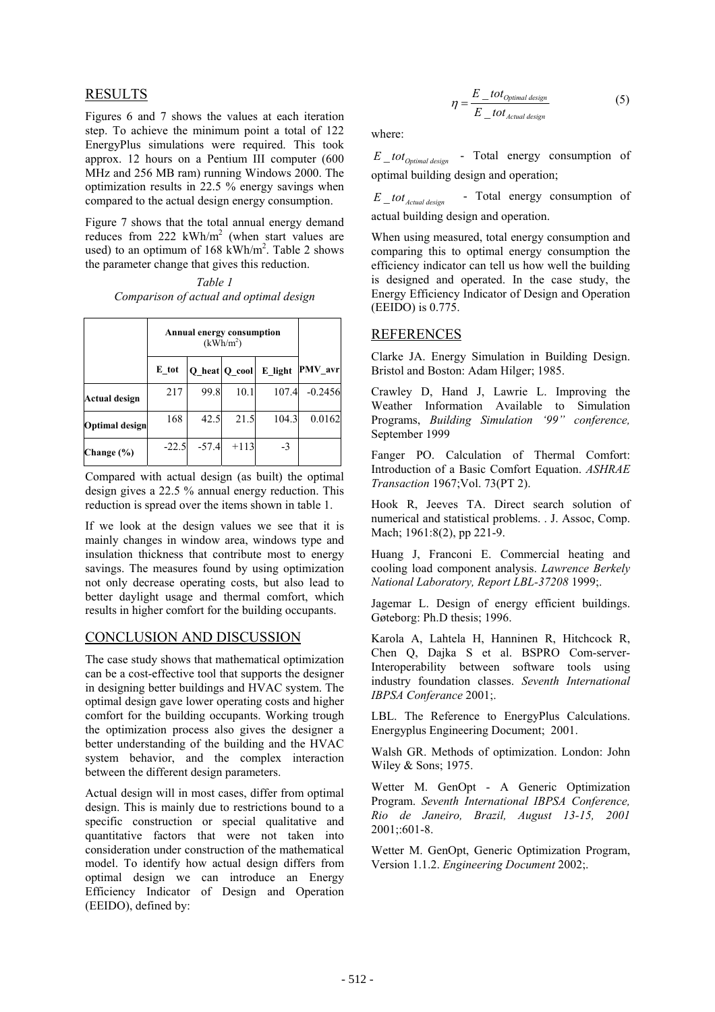## RESULTS

Figures 6 and 7 shows the values at each iteration step. To achieve the minimum point a total of 122 EnergyPlus simulations were required. This took approx. 12 hours on a Pentium III computer (600 MHz and 256 MB ram) running Windows 2000. The optimization results in 22.5 % energy savings when compared to the actual design energy consumption.

Figure 7 shows that the total annual energy demand reduces from  $222 \text{ kWh/m}^2$  (when start values are used) to an optimum of  $168 \text{ kWh/m}^2$ . Table 2 shows the parameter change that gives this reduction.

*Table 1 Comparison of actual and optimal design* 

|                       | Annual energy consumption<br>(kWh/m <sup>2</sup> ) |         |               |         |           |
|-----------------------|----------------------------------------------------|---------|---------------|---------|-----------|
|                       | E tot                                              |         | Q heat Q cool | E light | PMV avr   |
| Actual design         | 217                                                | 99.8    | 10.1          | 107.4   | $-0.2456$ |
| <b>Optimal</b> design | 168                                                | 42.5    | 21.5          | 104.3   | 0.0162    |
| Change (%)            | $-22.5$                                            | $-57.4$ | $+113$        | $-3$    |           |

Compared with actual design (as built) the optimal design gives a 22.5 % annual energy reduction. This reduction is spread over the items shown in table 1.

If we look at the design values we see that it is mainly changes in window area, windows type and insulation thickness that contribute most to energy savings. The measures found by using optimization not only decrease operating costs, but also lead to better daylight usage and thermal comfort, which results in higher comfort for the building occupants.

## CONCLUSION AND DISCUSSION

The case study shows that mathematical optimization can be a cost-effective tool that supports the designer in designing better buildings and HVAC system. The optimal design gave lower operating costs and higher comfort for the building occupants. Working trough the optimization process also gives the designer a better understanding of the building and the HVAC system behavior, and the complex interaction between the different design parameters.

Actual design will in most cases, differ from optimal design. This is mainly due to restrictions bound to a specific construction or special qualitative and quantitative factors that were not taken into consideration under construction of the mathematical model. To identify how actual design differs from optimal design we can introduce an Energy Efficiency Indicator of Design and Operation (EEIDO), defined by:

$$
\eta = \frac{E\_tot_{Optimal\ design}}{E\_tot_{Actual\ design}}
$$
(5)

where:

\_ *E totOptimal design* - Total energy consumption of optimal building design and operation;

 $E_{\text{1}} tot_{\text{Actual design}}$  - Total energy consumption of actual building design and operation.

When using measured, total energy consumption and comparing this to optimal energy consumption the efficiency indicator can tell us how well the building is designed and operated. In the case study, the Energy Efficiency Indicator of Design and Operation (EEIDO) is 0.775.

## REFERENCES

Clarke JA. Energy Simulation in Building Design. Bristol and Boston: Adam Hilger; 1985.

Crawley D, Hand J, Lawrie L. Improving the Weather Information Available to Simulation Programs, *Building Simulation '99" conference,*  September 1999

Fanger PO. Calculation of Thermal Comfort: Introduction of a Basic Comfort Equation. *ASHRAE Transaction* 1967;Vol. 73(PT 2).

Hook R, Jeeves TA. Direct search solution of numerical and statistical problems. . J. Assoc, Comp. Mach; 1961:8(2), pp 221-9.

Huang J, Franconi E. Commercial heating and cooling load component analysis. *Lawrence Berkely National Laboratory, Report LBL-37208* 1999;.

Jagemar L. Design of energy efficient buildings. Gøteborg: Ph.D thesis; 1996.

Karola A, Lahtela H, Hanninen R, Hitchcock R, Chen Q, Dajka S et al. BSPRO Com-server-Interoperability between software tools using industry foundation classes. *Seventh International IBPSA Conferance* 2001;.

LBL. The Reference to EnergyPlus Calculations. Energyplus Engineering Document; 2001.

Walsh GR. Methods of optimization. London: John Wiley & Sons; 1975.

Wetter M. GenOpt - A Generic Optimization Program. *Seventh International IBPSA Conference, Rio de Janeiro, Brazil, August 13-15, 2001* 2001;:601-8.

Wetter M. GenOpt, Generic Optimization Program, Version 1.1.2. *Engineering Document* 2002;.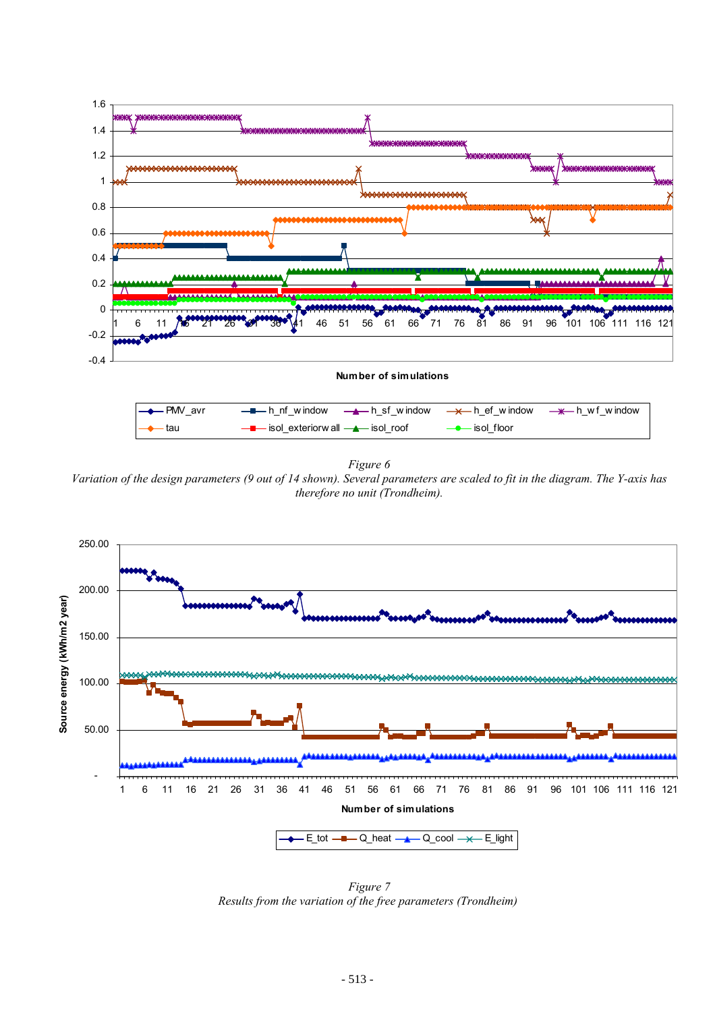

*Figure 6* 

*Variation of the design parameters (9 out of 14 shown). Several parameters are scaled to fit in the diagram. The Y-axis has therefore no unit (Trondheim).* 



 *Figure 7 Results from the variation of the free parameters (Trondheim)*